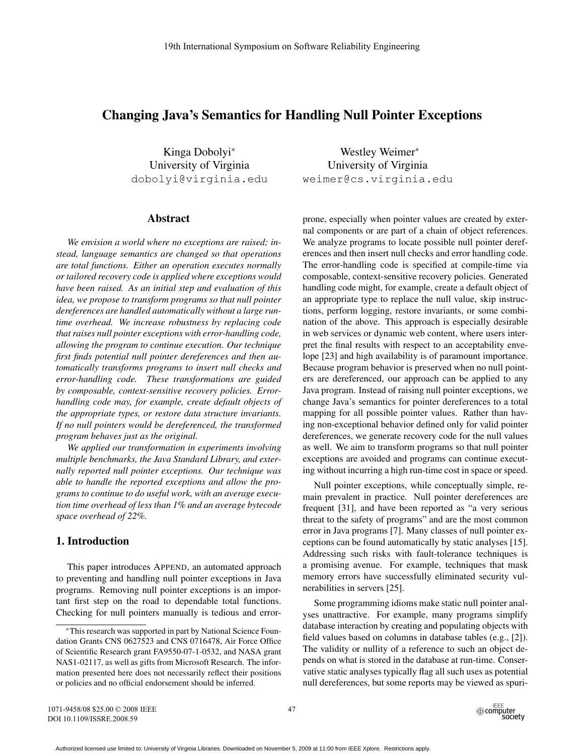# Changing Java's Semantics for Handling Null Pointer Exceptions

Kinga Dobolyi<sup>∗</sup> University of Virginia dobolyi@virginia.edu

#### Abstract

*We envision a world where no exceptions are raised; instead, language semantics are changed so that operations are total functions. Either an operation executes normally or tailored recovery code is applied where exceptions would have been raised. As an initial step and evaluation of this idea, we propose to transform programs so that null pointer dereferences are handled automatically without a large runtime overhead. We increase robustness by replacing code that raises null pointer exceptions with error-handling code, allowing the program to continue execution. Our technique first finds potential null pointer dereferences and then automatically transforms programs to insert null checks and error-handling code. These transformations are guided by composable, context-sensitive recovery policies. Errorhandling code may, for example, create default objects of the appropriate types, or restore data structure invariants. If no null pointers would be dereferenced, the transformed program behaves just as the original.*

*We applied our transformation in experiments involving multiple benchmarks, the Java Standard Library, and externally reported null pointer exceptions. Our technique was able to handle the reported exceptions and allow the programs to continue to do useful work, with an average execution time overhead of less than 1% and an average bytecode space overhead of 22%.*

## 1. Introduction

This paper introduces APPEND, an automated approach to preventing and handling null pointer exceptions in Java programs. Removing null pointer exceptions is an important first step on the road to dependable total functions. Checking for null pointers manually is tedious and error-

Westley Weimer<sup>∗</sup> University of Virginia weimer@cs.virginia.edu

prone, especially when pointer values are created by external components or are part of a chain of object references. We analyze programs to locate possible null pointer dereferences and then insert null checks and error handling code. The error-handling code is specified at compile-time via composable, context-sensitive recovery policies. Generated handling code might, for example, create a default object of an appropriate type to replace the null value, skip instructions, perform logging, restore invariants, or some combination of the above. This approach is especially desirable in web services or dynamic web content, where users interpret the final results with respect to an acceptability envelope [23] and high availability is of paramount importance. Because program behavior is preserved when no null pointers are dereferenced, our approach can be applied to any Java program. Instead of raising null pointer exceptions, we change Java's semantics for pointer dereferences to a total mapping for all possible pointer values. Rather than having non-exceptional behavior defined only for valid pointer dereferences, we generate recovery code for the null values as well. We aim to transform programs so that null pointer exceptions are avoided and programs can continue executing without incurring a high run-time cost in space or speed.

Null pointer exceptions, while conceptually simple, remain prevalent in practice. Null pointer dereferences are frequent [31], and have been reported as "a very serious threat to the safety of programs" and are the most common error in Java programs [7]. Many classes of null pointer exceptions can be found automatically by static analyses [15]. Addressing such risks with fault-tolerance techniques is a promising avenue. For example, techniques that mask memory errors have successfully eliminated security vulnerabilities in servers [25].

Some programming idioms make static null pointer analyses unattractive. For example, many programs simplify database interaction by creating and populating objects with field values based on columns in database tables (e.g., [2]). The validity or nullity of a reference to such an object depends on what is stored in the database at run-time. Conservative static analyses typically flag all such uses as potential null dereferences, but some reports may be viewed as spuri-

<sup>∗</sup>This research was supported in part by National Science Foundation Grants CNS 0627523 and CNS 0716478, Air Force Office of Scientific Research grant FA9550-07-1-0532, and NASA grant NAS1-02117, as well as gifts from Microsoft Research. The information presented here does not necessarily reflect their positions or policies and no official endorsement should be inferred.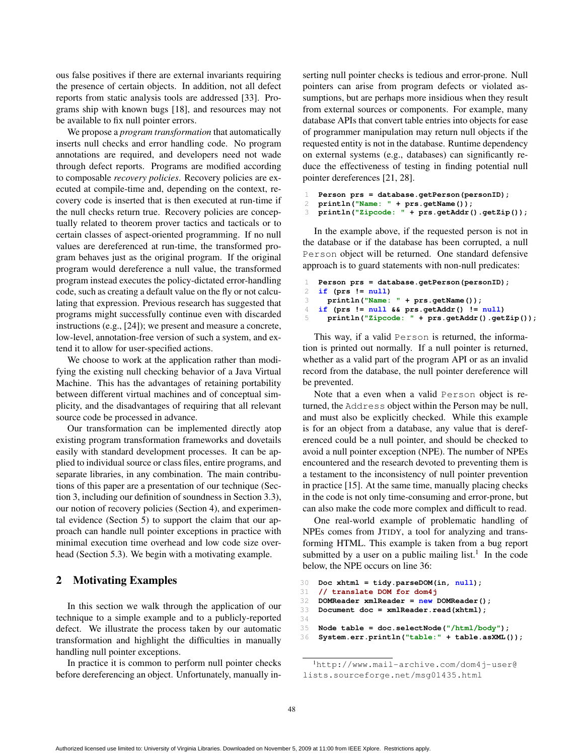ous false positives if there are external invariants requiring the presence of certain objects. In addition, not all defect reports from static analysis tools are addressed [33]. Programs ship with known bugs [18], and resources may not be available to fix null pointer errors.

We propose a *program transformation* that automatically inserts null checks and error handling code. No program annotations are required, and developers need not wade through defect reports. Programs are modified according to composable *recovery policies*. Recovery policies are executed at compile-time and, depending on the context, recovery code is inserted that is then executed at run-time if the null checks return true. Recovery policies are conceptually related to theorem prover tactics and tacticals or to certain classes of aspect-oriented programming. If no null values are dereferenced at run-time, the transformed program behaves just as the original program. If the original program would dereference a null value, the transformed program instead executes the policy-dictated error-handling code, such as creating a default value on the fly or not calculating that expression. Previous research has suggested that programs might successfully continue even with discarded instructions (e.g., [24]); we present and measure a concrete, low-level, annotation-free version of such a system, and extend it to allow for user-specified actions.

We choose to work at the application rather than modifying the existing null checking behavior of a Java Virtual Machine. This has the advantages of retaining portability between different virtual machines and of conceptual simplicity, and the disadvantages of requiring that all relevant source code be processed in advance.

Our transformation can be implemented directly atop existing program transformation frameworks and dovetails easily with standard development processes. It can be applied to individual source or class files, entire programs, and separate libraries, in any combination. The main contributions of this paper are a presentation of our technique (Section 3, including our definition of soundness in Section 3.3), our notion of recovery policies (Section 4), and experimental evidence (Section 5) to support the claim that our approach can handle null pointer exceptions in practice with minimal execution time overhead and low code size overhead (Section 5.3). We begin with a motivating example.

# 2 Motivating Examples

In this section we walk through the application of our technique to a simple example and to a publicly-reported defect. We illustrate the process taken by our automatic transformation and highlight the difficulties in manually handling null pointer exceptions.

In practice it is common to perform null pointer checks before dereferencing an object. Unfortunately, manually inserting null pointer checks is tedious and error-prone. Null pointers can arise from program defects or violated assumptions, but are perhaps more insidious when they result from external sources or components. For example, many database APIs that convert table entries into objects for ease of programmer manipulation may return null objects if the requested entity is not in the database. Runtime dependency on external systems (e.g., databases) can significantly reduce the effectiveness of testing in finding potential null pointer dereferences [21, 28].

```
1 Person prs = database.getPerson(personID);
```

```
2 println("Name: " + prs.getName());
```

```
3 println("Zipcode: " + prs.getAddr().getZip());
```
In the example above, if the requested person is not in the database or if the database has been corrupted, a null Person object will be returned. One standard defensive approach is to guard statements with non-null predicates:

```
1 Person prs = database.getPerson(personID);
2 if (prs != null)
3 println("Name: " + prs.getName());
4 if (prs != null && prs.getAddr() != null)
    5 println("Zipcode: " + prs.getAddr().getZip());
```
This way, if a valid Person is returned, the information is printed out normally. If a null pointer is returned, whether as a valid part of the program API or as an invalid record from the database, the null pointer dereference will be prevented.

Note that a even when a valid Person object is returned, the Address object within the Person may be null, and must also be explicitly checked. While this example is for an object from a database, any value that is dereferenced could be a null pointer, and should be checked to avoid a null pointer exception (NPE). The number of NPEs encountered and the research devoted to preventing them is a testament to the inconsistency of null pointer prevention in practice [15]. At the same time, manually placing checks in the code is not only time-consuming and error-prone, but can also make the code more complex and difficult to read.

One real-world example of problematic handling of NPEs comes from JTIDY, a tool for analyzing and transforming HTML. This example is taken from a bug report submitted by a user on a public mailing list.<sup>1</sup> In the code below, the NPE occurs on line 36:

```
30 Doc xhtml = tidy.parseDOM(in, null);
```

```
31 // translate DOM for dom4j
```

```
32 DOMReader xmlReader = new DOMReader();
```

```
33 Document doc = xmlReader.read(xhtml);
34
```

```
35 Node table = doc.selectNode("/html/body");
```

```
36 System.err.println("table:" + table.asXML());
```
<sup>1</sup>http://www.mail-archive.com/dom4j-user@ lists.sourceforge.net/msg01435.html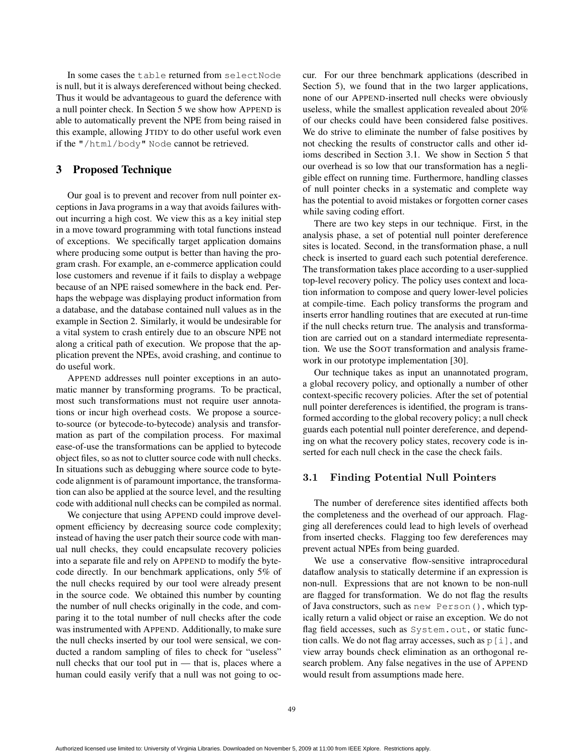In some cases the table returned from selectNode is null, but it is always dereferenced without being checked. Thus it would be advantageous to guard the deference with a null pointer check. In Section 5 we show how APPEND is able to automatically prevent the NPE from being raised in this example, allowing JTIDY to do other useful work even if the "/html/body" Node cannot be retrieved.

## 3 Proposed Technique

Our goal is to prevent and recover from null pointer exceptions in Java programs in a way that avoids failures without incurring a high cost. We view this as a key initial step in a move toward programming with total functions instead of exceptions. We specifically target application domains where producing some output is better than having the program crash. For example, an e-commerce application could lose customers and revenue if it fails to display a webpage because of an NPE raised somewhere in the back end. Perhaps the webpage was displaying product information from a database, and the database contained null values as in the example in Section 2. Similarly, it would be undesirable for a vital system to crash entirely due to an obscure NPE not along a critical path of execution. We propose that the application prevent the NPEs, avoid crashing, and continue to do useful work.

APPEND addresses null pointer exceptions in an automatic manner by transforming programs. To be practical, most such transformations must not require user annotations or incur high overhead costs. We propose a sourceto-source (or bytecode-to-bytecode) analysis and transformation as part of the compilation process. For maximal ease-of-use the transformations can be applied to bytecode object files, so as not to clutter source code with null checks. In situations such as debugging where source code to bytecode alignment is of paramount importance, the transformation can also be applied at the source level, and the resulting code with additional null checks can be compiled as normal.

We conjecture that using APPEND could improve development efficiency by decreasing source code complexity; instead of having the user patch their source code with manual null checks, they could encapsulate recovery policies into a separate file and rely on APPEND to modify the bytecode directly. In our benchmark applications, only 5% of the null checks required by our tool were already present in the source code. We obtained this number by counting the number of null checks originally in the code, and comparing it to the total number of null checks after the code was instrumented with APPEND. Additionally, to make sure the null checks inserted by our tool were sensical, we conducted a random sampling of files to check for "useless" null checks that our tool put in — that is, places where a human could easily verify that a null was not going to oc-

cur. For our three benchmark applications (described in Section 5), we found that in the two larger applications, none of our APPEND-inserted null checks were obviously useless, while the smallest application revealed about 20% of our checks could have been considered false positives. We do strive to eliminate the number of false positives by not checking the results of constructor calls and other idioms described in Section 3.1. We show in Section 5 that our overhead is so low that our transformation has a negligible effect on running time. Furthermore, handling classes of null pointer checks in a systematic and complete way has the potential to avoid mistakes or forgotten corner cases while saving coding effort.

There are two key steps in our technique. First, in the analysis phase, a set of potential null pointer dereference sites is located. Second, in the transformation phase, a null check is inserted to guard each such potential dereference. The transformation takes place according to a user-supplied top-level recovery policy. The policy uses context and location information to compose and query lower-level policies at compile-time. Each policy transforms the program and inserts error handling routines that are executed at run-time if the null checks return true. The analysis and transformation are carried out on a standard intermediate representation. We use the SOOT transformation and analysis framework in our prototype implementation [30].

Our technique takes as input an unannotated program, a global recovery policy, and optionally a number of other context-specific recovery policies. After the set of potential null pointer dereferences is identified, the program is transformed according to the global recovery policy; a null check guards each potential null pointer dereference, and depending on what the recovery policy states, recovery code is inserted for each null check in the case the check fails.

#### 3.1 Finding Potential Null Pointers

The number of dereference sites identified affects both the completeness and the overhead of our approach. Flagging all dereferences could lead to high levels of overhead from inserted checks. Flagging too few dereferences may prevent actual NPEs from being guarded.

We use a conservative flow-sensitive intraprocedural dataflow analysis to statically determine if an expression is non-null. Expressions that are not known to be non-null are flagged for transformation. We do not flag the results of Java constructors, such as new Person(), which typically return a valid object or raise an exception. We do not flag field accesses, such as System.out, or static function calls. We do not flag array accesses, such as  $p[i]$ , and view array bounds check elimination as an orthogonal research problem. Any false negatives in the use of APPEND would result from assumptions made here.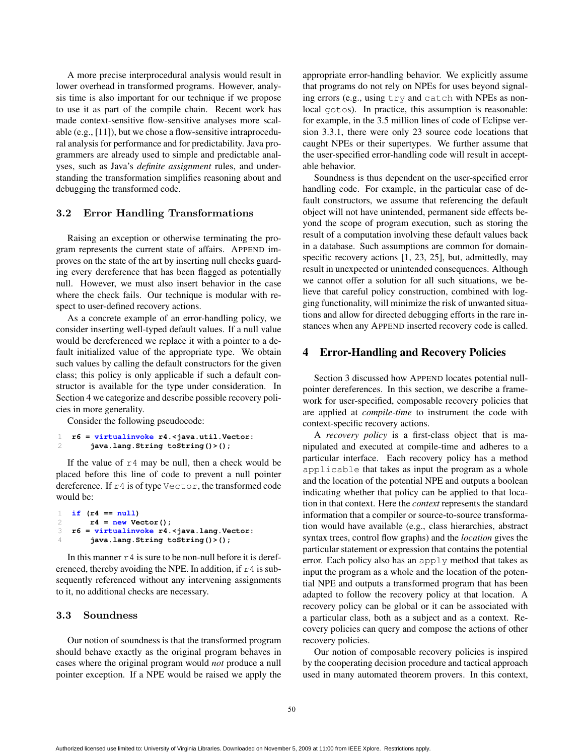A more precise interprocedural analysis would result in lower overhead in transformed programs. However, analysis time is also important for our technique if we propose to use it as part of the compile chain. Recent work has made context-sensitive flow-sensitive analyses more scalable (e.g., [11]), but we chose a flow-sensitive intraprocedural analysis for performance and for predictability. Java programmers are already used to simple and predictable analyses, such as Java's *definite assignment* rules, and understanding the transformation simplifies reasoning about and debugging the transformed code.

#### 3.2 Error Handling Transformations

Raising an exception or otherwise terminating the program represents the current state of affairs. APPEND improves on the state of the art by inserting null checks guarding every dereference that has been flagged as potentially null. However, we must also insert behavior in the case where the check fails. Our technique is modular with respect to user-defined recovery actions.

As a concrete example of an error-handling policy, we consider inserting well-typed default values. If a null value would be dereferenced we replace it with a pointer to a default initialized value of the appropriate type. We obtain such values by calling the default constructors for the given class; this policy is only applicable if such a default constructor is available for the type under consideration. In Section 4 we categorize and describe possible recovery policies in more generality.

Consider the following pseudocode:

```
1 r6 = virtualinvoke r4.<java.util.Vector:
2 java.lang.String toString()>();
```
If the value of  $r4$  may be null, then a check would be placed before this line of code to prevent a null pointer dereference. If r4 is of type Vector, the transformed code would be:

```
1 if (r4 == null)
2 r4 = new Vector();
3 r6 = virtualinvoke r4.<java.lang.Vector:
4 java.lang.String toString()>();
```
In this manner  $r \cdot 4$  is sure to be non-null before it is dereferenced, thereby avoiding the NPE. In addition, if  $r4$  is subsequently referenced without any intervening assignments to it, no additional checks are necessary.

#### 3.3 Soundness

Our notion of soundness is that the transformed program should behave exactly as the original program behaves in cases where the original program would *not* produce a null pointer exception. If a NPE would be raised we apply the appropriate error-handling behavior. We explicitly assume that programs do not rely on NPEs for uses beyond signaling errors (e.g., using try and catch with NPEs as nonlocal gotos). In practice, this assumption is reasonable: for example, in the 3.5 million lines of code of Eclipse version 3.3.1, there were only 23 source code locations that caught NPEs or their supertypes. We further assume that the user-specified error-handling code will result in acceptable behavior.

Soundness is thus dependent on the user-specified error handling code. For example, in the particular case of default constructors, we assume that referencing the default object will not have unintended, permanent side effects beyond the scope of program execution, such as storing the result of a computation involving these default values back in a database. Such assumptions are common for domainspecific recovery actions [1, 23, 25], but, admittedly, may result in unexpected or unintended consequences. Although we cannot offer a solution for all such situations, we believe that careful policy construction, combined with logging functionality, will minimize the risk of unwanted situations and allow for directed debugging efforts in the rare instances when any APPEND inserted recovery code is called.

## 4 Error-Handling and Recovery Policies

Section 3 discussed how APPEND locates potential nullpointer dereferences. In this section, we describe a framework for user-specified, composable recovery policies that are applied at *compile-time* to instrument the code with context-specific recovery actions.

A *recovery policy* is a first-class object that is manipulated and executed at compile-time and adheres to a particular interface. Each recovery policy has a method applicable that takes as input the program as a whole and the location of the potential NPE and outputs a boolean indicating whether that policy can be applied to that location in that context. Here the *context* represents the standard information that a compiler or source-to-source transformation would have available (e.g., class hierarchies, abstract syntax trees, control flow graphs) and the *location* gives the particular statement or expression that contains the potential error. Each policy also has an apply method that takes as input the program as a whole and the location of the potential NPE and outputs a transformed program that has been adapted to follow the recovery policy at that location. A recovery policy can be global or it can be associated with a particular class, both as a subject and as a context. Recovery policies can query and compose the actions of other recovery policies.

Our notion of composable recovery policies is inspired by the cooperating decision procedure and tactical approach used in many automated theorem provers. In this context,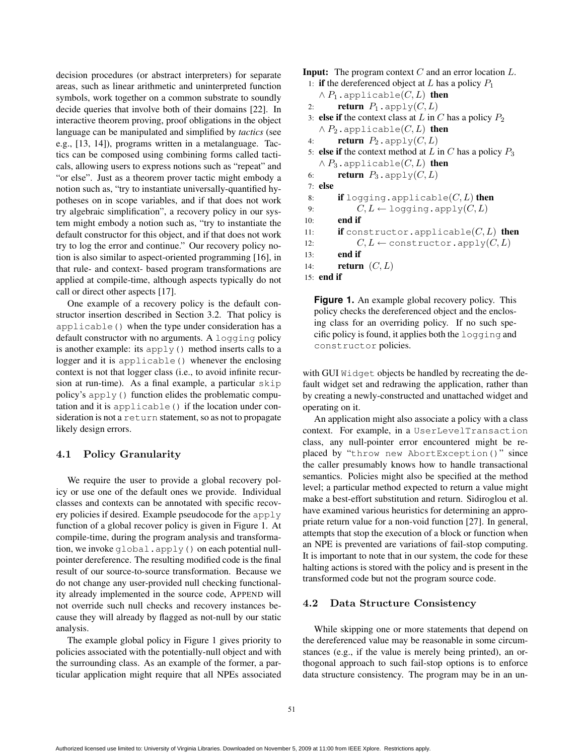decision procedures (or abstract interpreters) for separate areas, such as linear arithmetic and uninterpreted function symbols, work together on a common substrate to soundly decide queries that involve both of their domains [22]. In interactive theorem proving, proof obligations in the object language can be manipulated and simplified by *tactics* (see e.g., [13, 14]), programs written in a metalanguage. Tactics can be composed using combining forms called tacticals, allowing users to express notions such as "repeat" and "or else". Just as a theorem prover tactic might embody a notion such as, "try to instantiate universally-quantified hypotheses on in scope variables, and if that does not work try algebraic simplification", a recovery policy in our system might embody a notion such as, "try to instantiate the default constructor for this object, and if that does not work try to log the error and continue." Our recovery policy notion is also similar to aspect-oriented programming [16], in that rule- and context- based program transformations are applied at compile-time, although aspects typically do not call or direct other aspects [17].

One example of a recovery policy is the default constructor insertion described in Section 3.2. That policy is applicable() when the type under consideration has a default constructor with no arguments. A logging policy is another example: its  $apply()$  method inserts calls to a logger and it is applicable() whenever the enclosing context is not that logger class (i.e., to avoid infinite recursion at run-time). As a final example, a particular skip policy's apply() function elides the problematic computation and it is applicable() if the location under consideration is not a return statement, so as not to propagate likely design errors.

#### 4.1 Policy Granularity

We require the user to provide a global recovery policy or use one of the default ones we provide. Individual classes and contexts can be annotated with specific recovery policies if desired. Example pseudocode for the apply function of a global recover policy is given in Figure 1. At compile-time, during the program analysis and transformation, we invoke global.apply() on each potential nullpointer dereference. The resulting modified code is the final result of our source-to-source transformation. Because we do not change any user-provided null checking functionality already implemented in the source code, APPEND will not override such null checks and recovery instances because they will already by flagged as not-null by our static analysis.

The example global policy in Figure 1 gives priority to policies associated with the potentially-null object and with the surrounding class. As an example of the former, a particular application might require that all NPEs associated **Input:** The program context  $C$  and an error location  $L$ .

```
1: if the dereferenced object at L has a policy P_1\wedge P_1.applicable(C, L) then
```
- 2: **return**  $P_1$ .apply( $C, L$ )
- 3: else if the context class at  $L$  in  $C$  has a policy  $P_2$  $\wedge$   $P_2$ .applicable $(C, L)$  then
- 4: **return**  $P_2$ .apply( $C, L$ )
- 5: else if the context method at  $L$  in  $C$  has a policy  $P_3$  $\wedge$   $P_3$ .applicable $(C, L)$  then
- 6: **return**  $P_3$ .apply $(C, L)$
- 7: else 8: if logging.applicable $(C, L)$  then
- 9:  $C, L \leftarrow \text{logging.append}(C, L)$
- 10: end if
- 11: **if** constructor.applicable $(C, L)$  then
- 12:  $C, L \leftarrow \text{constructor.apply}(C, L)$
- $13:$  end if
- 14: **return**  $(C, L)$

```
15: end if
```
**Figure 1.** An example global recovery policy. This policy checks the dereferenced object and the enclosing class for an overriding policy. If no such specific policy is found, it applies both the logging and constructor policies.

with GUI Widget objects be handled by recreating the default widget set and redrawing the application, rather than by creating a newly-constructed and unattached widget and operating on it.

An application might also associate a policy with a class context. For example, in a UserLevelTransaction class, any null-pointer error encountered might be replaced by "throw new AbortException()" since the caller presumably knows how to handle transactional semantics. Policies might also be specified at the method level; a particular method expected to return a value might make a best-effort substitution and return. Sidiroglou et al. have examined various heuristics for determining an appropriate return value for a non-void function [27]. In general, attempts that stop the execution of a block or function when an NPE is prevented are variations of fail-stop computing. It is important to note that in our system, the code for these halting actions is stored with the policy and is present in the transformed code but not the program source code.

#### 4.2 Data Structure Consistency

While skipping one or more statements that depend on the dereferenced value may be reasonable in some circumstances (e.g., if the value is merely being printed), an orthogonal approach to such fail-stop options is to enforce data structure consistency. The program may be in an un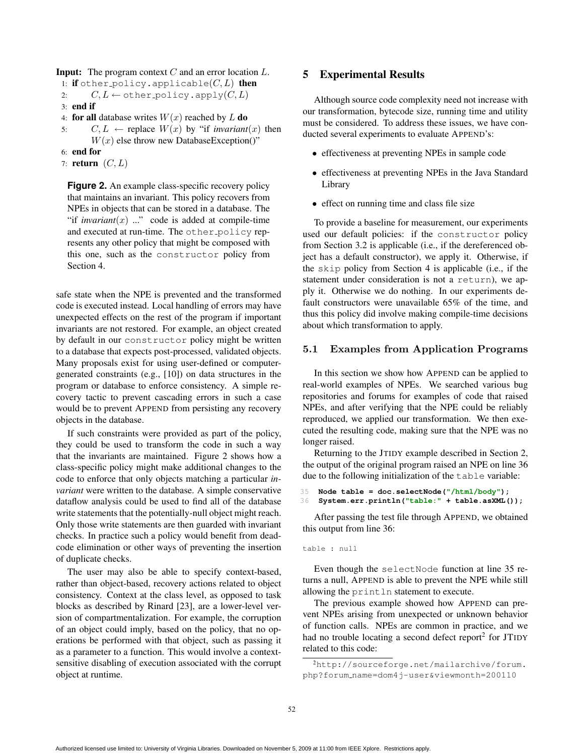**Input:** The program context  $C$  and an error location  $L$ .

```
1: if other policy.applicable(C, L) then
```

```
2: C, L \leftarrow other policy.apply(C, L)
```

```
3: end if
```

```
4: for all database writes W(x) reached by L do
```

```
5: C, L \leftarrow replace W(x) by "if invariant(x) then
       W(x) else throw new DatabaseException()"
```

```
6: end for
```

```
7: return (C, L)
```
**Figure 2.** An example class-specific recovery policy that maintains an invariant. This policy recovers from NPEs in objects that can be stored in a database. The "if  $\text{invariant}(x)$  ..." code is added at compile-time" and executed at run-time. The other policy represents any other policy that might be composed with this one, such as the constructor policy from Section 4.

safe state when the NPE is prevented and the transformed code is executed instead. Local handling of errors may have unexpected effects on the rest of the program if important invariants are not restored. For example, an object created by default in our constructor policy might be written to a database that expects post-processed, validated objects. Many proposals exist for using user-defined or computergenerated constraints (e.g., [10]) on data structures in the program or database to enforce consistency. A simple recovery tactic to prevent cascading errors in such a case would be to prevent APPEND from persisting any recovery objects in the database.

If such constraints were provided as part of the policy, they could be used to transform the code in such a way that the invariants are maintained. Figure 2 shows how a class-specific policy might make additional changes to the code to enforce that only objects matching a particular *invariant* were written to the database. A simple conservative dataflow analysis could be used to find all of the database write statements that the potentially-null object might reach. Only those write statements are then guarded with invariant checks. In practice such a policy would benefit from deadcode elimination or other ways of preventing the insertion of duplicate checks.

The user may also be able to specify context-based, rather than object-based, recovery actions related to object consistency. Context at the class level, as opposed to task blocks as described by Rinard [23], are a lower-level version of compartmentalization. For example, the corruption of an object could imply, based on the policy, that no operations be performed with that object, such as passing it as a parameter to a function. This would involve a contextsensitive disabling of execution associated with the corrupt object at runtime.

# 5 Experimental Results

Although source code complexity need not increase with our transformation, bytecode size, running time and utility must be considered. To address these issues, we have conducted several experiments to evaluate APPEND's:

- effectiveness at preventing NPEs in sample code
- effectiveness at preventing NPEs in the Java Standard Library
- effect on running time and class file size

To provide a baseline for measurement, our experiments used our default policies: if the constructor policy from Section 3.2 is applicable (i.e., if the dereferenced object has a default constructor), we apply it. Otherwise, if the skip policy from Section 4 is applicable (i.e., if the statement under consideration is not a return), we apply it. Otherwise we do nothing. In our experiments default constructors were unavailable 65% of the time, and thus this policy did involve making compile-time decisions about which transformation to apply.

# 5.1 Examples from Application Programs

In this section we show how APPEND can be applied to real-world examples of NPEs. We searched various bug repositories and forums for examples of code that raised NPEs, and after verifying that the NPE could be reliably reproduced, we applied our transformation. We then executed the resulting code, making sure that the NPE was no longer raised.

Returning to the JTIDY example described in Section 2, the output of the original program raised an NPE on line 36 due to the following initialization of the table variable:

```
35 Node table = doc.selectNode("/html/body");
36 System.err.println("table:" + table.asXML());
```
After passing the test file through APPEND, we obtained this output from line 36:

```
table : null
```
Even though the selectNode function at line 35 returns a null, APPEND is able to prevent the NPE while still allowing the println statement to execute.

The previous example showed how APPEND can prevent NPEs arising from unexpected or unknown behavior of function calls. NPEs are common in practice, and we had no trouble locating a second defect report<sup>2</sup> for JTIDY related to this code:

<sup>2</sup>http://sourceforge.net/mailarchive/forum. php?forum name=dom4j-user&viewmonth=200110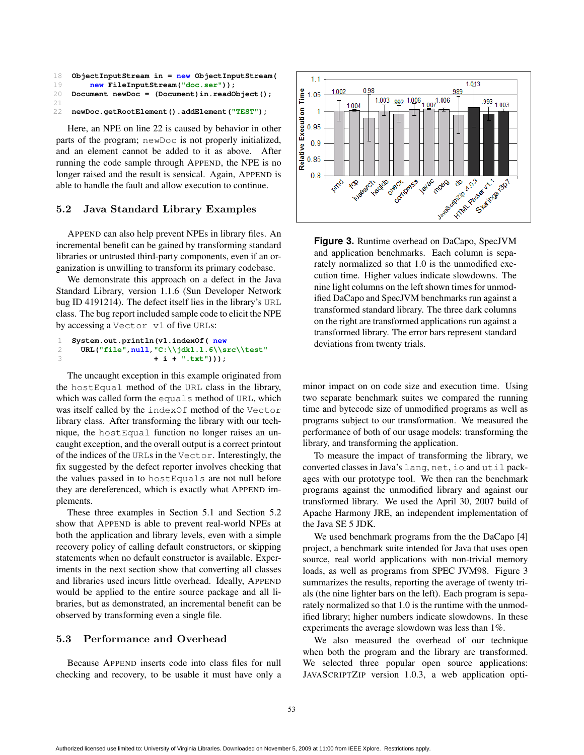```
18 ObjectInputStream in = new ObjectInputStream(
19 new FileInputStream("doc.ser"));
20 Document newDoc = (Document)in.readObject();
21
22 newDoc.getRootElement().addElement("TEST");
```
Here, an NPE on line 22 is caused by behavior in other parts of the program; newDoc is not properly initialized, and an element cannot be added to it as above. After running the code sample through APPEND, the NPE is no longer raised and the result is sensical. Again, APPEND is able to handle the fault and allow execution to continue.

# 5.2 Java Standard Library Examples

APPEND can also help prevent NPEs in library files. An incremental benefit can be gained by transforming standard libraries or untrusted third-party components, even if an organization is unwilling to transform its primary codebase.

We demonstrate this approach on a defect in the Java Standard Library, version 1.1.6 (Sun Developer Network bug ID 4191214). The defect itself lies in the library's URL class. The bug report included sample code to elicit the NPE by accessing a Vector v1 of five URLs:

```
1 System.out.println(v1.indexOf( new
2 URL("file",null,"C:\\jdk1.1.6\\src\\test"
                     3 + i + ".txt")));
```
The uncaught exception in this example originated from the hostEqual method of the URL class in the library, which was called form the equals method of URL, which was itself called by the indexOf method of the Vector library class. After transforming the library with our technique, the hostEqual function no longer raises an uncaught exception, and the overall output is a correct printout of the indices of the URLs in the Vector. Interestingly, the fix suggested by the defect reporter involves checking that the values passed in to hostEquals are not null before they are dereferenced, which is exactly what APPEND implements.

These three examples in Section 5.1 and Section 5.2 show that APPEND is able to prevent real-world NPEs at both the application and library levels, even with a simple recovery policy of calling default constructors, or skipping statements when no default constructor is available. Experiments in the next section show that converting all classes and libraries used incurs little overhead. Ideally, APPEND would be applied to the entire source package and all libraries, but as demonstrated, an incremental benefit can be observed by transforming even a single file.

## 5.3 Performance and Overhead

Because APPEND inserts code into class files for null checking and recovery, to be usable it must have only a



**Figure 3.** Runtime overhead on DaCapo, SpecJVM and application benchmarks. Each column is separately normalized so that 1.0 is the unmodified execution time. Higher values indicate slowdowns. The nine light columns on the left shown times for unmodified DaCapo and SpecJVM benchmarks run against a transformed standard library. The three dark columns on the right are transformed applications run against a transformed library. The error bars represent standard deviations from twenty trials.

minor impact on on code size and execution time. Using two separate benchmark suites we compared the running time and bytecode size of unmodified programs as well as programs subject to our transformation. We measured the performance of both of our usage models: transforming the library, and transforming the application.

To measure the impact of transforming the library, we converted classes in Java's lang, net, io and util packages with our prototype tool. We then ran the benchmark programs against the unmodified library and against our transformed library. We used the April 30, 2007 build of Apache Harmony JRE, an independent implementation of the Java SE 5 JDK.

We used benchmark programs from the the DaCapo [4] project, a benchmark suite intended for Java that uses open source, real world applications with non-trivial memory loads, as well as programs from SPEC JVM98. Figure 3 summarizes the results, reporting the average of twenty trials (the nine lighter bars on the left). Each program is separately normalized so that 1.0 is the runtime with the unmodified library; higher numbers indicate slowdowns. In these experiments the average slowdown was less than 1%.

We also measured the overhead of our technique when both the program and the library are transformed. We selected three popular open source applications: JAVASCRIPTZIP version 1.0.3, a web application opti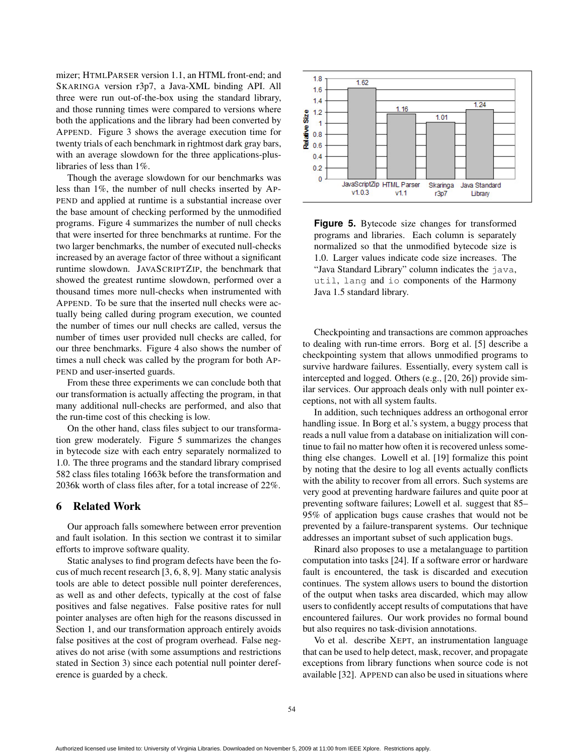mizer; HTMLPARSER version 1.1, an HTML front-end; and SKARINGA version r3p7, a Java-XML binding API. All three were run out-of-the-box using the standard library, and those running times were compared to versions where both the applications and the library had been converted by APPEND. Figure 3 shows the average execution time for twenty trials of each benchmark in rightmost dark gray bars, with an average slowdown for the three applications-pluslibraries of less than 1%.

Though the average slowdown for our benchmarks was less than 1%, the number of null checks inserted by AP-PEND and applied at runtime is a substantial increase over the base amount of checking performed by the unmodified programs. Figure 4 summarizes the number of null checks that were inserted for three benchmarks at runtime. For the two larger benchmarks, the number of executed null-checks increased by an average factor of three without a significant runtime slowdown. JAVASCRIPTZIP, the benchmark that showed the greatest runtime slowdown, performed over a thousand times more null-checks when instrumented with APPEND. To be sure that the inserted null checks were actually being called during program execution, we counted the number of times our null checks are called, versus the number of times user provided null checks are called, for our three benchmarks. Figure 4 also shows the number of times a null check was called by the program for both AP-PEND and user-inserted guards.

From these three experiments we can conclude both that our transformation is actually affecting the program, in that many additional null-checks are performed, and also that the run-time cost of this checking is low.

On the other hand, class files subject to our transformation grew moderately. Figure 5 summarizes the changes in bytecode size with each entry separately normalized to 1.0. The three programs and the standard library comprised 582 class files totaling 1663k before the transformation and 2036k worth of class files after, for a total increase of 22%.

## 6 Related Work

Our approach falls somewhere between error prevention and fault isolation. In this section we contrast it to similar efforts to improve software quality.

Static analyses to find program defects have been the focus of much recent research [3, 6, 8, 9]. Many static analysis tools are able to detect possible null pointer dereferences, as well as and other defects, typically at the cost of false positives and false negatives. False positive rates for null pointer analyses are often high for the reasons discussed in Section 1, and our transformation approach entirely avoids false positives at the cost of program overhead. False negatives do not arise (with some assumptions and restrictions stated in Section 3) since each potential null pointer dereference is guarded by a check.



**Figure 5.** Bytecode size changes for transformed programs and libraries. Each column is separately normalized so that the unmodified bytecode size is 1.0. Larger values indicate code size increases. The "Java Standard Library" column indicates the java, util, lang and io components of the Harmony Java 1.5 standard library.

Checkpointing and transactions are common approaches to dealing with run-time errors. Borg et al. [5] describe a checkpointing system that allows unmodified programs to survive hardware failures. Essentially, every system call is intercepted and logged. Others (e.g., [20, 26]) provide similar services. Our approach deals only with null pointer exceptions, not with all system faults.

In addition, such techniques address an orthogonal error handling issue. In Borg et al.'s system, a buggy process that reads a null value from a database on initialization will continue to fail no matter how often it is recovered unless something else changes. Lowell et al. [19] formalize this point by noting that the desire to log all events actually conflicts with the ability to recover from all errors. Such systems are very good at preventing hardware failures and quite poor at preventing software failures; Lowell et al. suggest that 85– 95% of application bugs cause crashes that would not be prevented by a failure-transparent systems. Our technique addresses an important subset of such application bugs.

Rinard also proposes to use a metalanguage to partition computation into tasks [24]. If a software error or hardware fault is encountered, the task is discarded and execution continues. The system allows users to bound the distortion of the output when tasks area discarded, which may allow users to confidently accept results of computations that have encountered failures. Our work provides no formal bound but also requires no task-division annotations.

Vo et al. describe XEPT, an instrumentation language that can be used to help detect, mask, recover, and propagate exceptions from library functions when source code is not available [32]. APPEND can also be used in situations where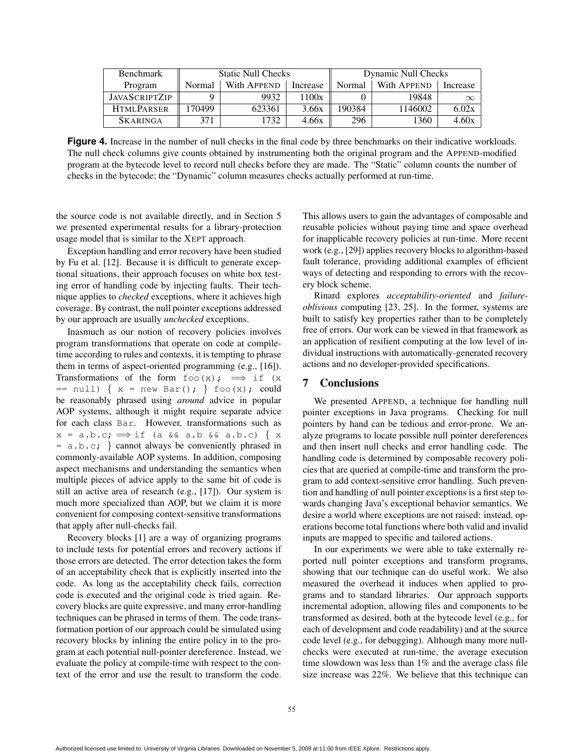| <b>Benchmark</b>     | <b>Static Null Checks</b> |             |          | <b>Dynamic Null Checks</b> |             |          |
|----------------------|---------------------------|-------------|----------|----------------------------|-------------|----------|
| Program              | Normal                    | With APPEND | Increase | Normal                     | With APPEND | Increase |
| <b>JAVASCRIPTZIP</b> |                           | 9932        | 1100x    |                            | 19848       | $\infty$ |
| <b>HTMLPARSER</b>    | 170499                    | 623361      | 3.66x    | 190384                     | 146002      | 6.02x    |
| <b>SKARINGA</b>      | 371                       | 732         | 4.66x    | 296                        | 1360        | 4.60x    |

**Figure 4.** Increase in the number of null checks in the final code by three benchmarks on their indicative workloads. The null check columns give counts obtained by instrumenting both the original program and the APPEND-modified program at the bytecode level to record null checks before they are made. The "Static" column counts the number of checks in the bytecode; the "Dynamic" column measures checks actually performed at run-time.

the source code is not available directly, and in Section 5 we presented experimental results for a library-protection usage model that is similar to the XEPT approach.

Exception handling and error recovery have been studied by Fu et al. [12]. Because it is difficult to generate exceptional situations, their approach focuses on white box testing error of handling code by injecting faults. Their technique applies to *checked* exceptions, where it achieves high coverage. By contrast, the null pointer exceptions addressed by our approach are usually *unchecked* exceptions.

Inasmuch as our notion of recovery policies involves program transformations that operate on code at compiletime according to rules and contexts, it is tempting to phrase them in terms of aspect-oriented programming (e.g., [16]). Transformations of the form  $f \circ \circ (x)$ ;  $\implies$  if (x)  $== null)$   $\{ x = new Bar(); \}$  foo $(x);$  could be reasonably phrased using *around* advice in popular AOP systems, although it might require separate advice for each class Bar. However, transformations such as  $x = a.b.c; \implies if (a & a.b & a.b.c) \{x$  $= a.b.c;$  } cannot always be conveniently phrased in commonly-available AOP systems. In addition, composing aspect mechanisms and understanding the semantics when multiple pieces of advice apply to the same bit of code is still an active area of research (e.g., [17]). Our system is much more specialized than AOP, but we claim it is more convenient for composing context-sensitive transformations that apply after null-checks fail.

Recovery blocks [1] are a way of organizing programs to include tests for potential errors and recovery actions if those errors are detected. The error detection takes the form of an acceptability check that is explicitly inserted into the code. As long as the acceptability check fails, correction code is executed and the original code is tried again. Recovery blocks are quite expressive, and many error-handling techniques can be phrased in terms of them. The code transformation portion of our approach could be simulated using recovery blocks by inlining the entire policy in to the program at each potential null-pointer dereference. Instead, we evaluate the policy at compile-time with respect to the context of the error and use the result to transform the code.

This allows users to gain the advantages of composable and reusable policies without paying time and space overhead for inapplicable recovery policies at run-time. More recent work (e.g., [29]) applies recovery blocks to algorithm-based fault tolerance, providing additional examples of efficient ways of detecting and responding to errors with the recovery block scheme.

Rinard explores *acceptability*-*oriented* and *failureoblivious* computing [23, 25]. In the former, systems are built to satisfy key properties rather than to be completely free of errors. Our work can be viewed in that framework as an application of resilient computing at the low level of individual instructions with automatically-generated recovery actions and no developer-provided specifications.

# 7 Conclusions

We presented APPEND, a technique for handling null pointer exceptions in Java programs. Checking for null pointers by hand can be tedious and error-prone. We analyze programs to locate possible null pointer dereferences and then insert null checks and error handling code. The handling code is determined by composable recovery policies that are queried at compile-time and transform the program to add context-sensitive error handling. Such prevention and handling of null pointer exceptions is a first step towards changing Java's exceptional behavior semantics. We desire a world where exceptions are not raised: instead, operations become total functions where both valid and invalid inputs are mapped to specific and tailored actions.

In our experiments we were able to take externally reported null pointer exceptions and transform programs, showing that our technique can do useful work. We also measured the overhead it induces when applied to programs and to standard libraries. Our approach supports incremental adoption, allowing files and components to be transformed as desired, both at the bytecode level (e.g., for each of development and code readability) and at the source code level (e.g., for debugging). Although many more nullchecks were executed at run-time, the average execution time slowdown was less than 1% and the average class file size increase was 22%. We believe that this technique can